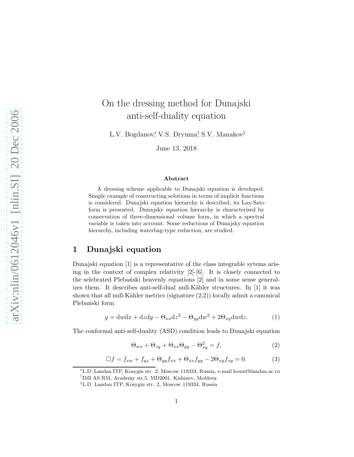# On the dressing method for Dunajski anti-self-duality equation

L.V. Bogdanov, V.S. Dryuma, S.V. Manakov‡

June 13, 2018

#### Abstract

A dressing scheme applicable to Dunajski equation is developed. Simple example of constructing solutions in terms of implicit functions is considered. Dunajski equation hierarchy is described, its Lax-Sato form is presented. Dunajsky equation hierarchy is characterised by conservation of three-dimensional volume form, in which a spectral variable is taken into account. Some reductions of Dunajsky equation hierarchy, including waterbag-type reduction, are studied.

### 1 Dunajski equation

Dunajski equation [1] is a representative of the class integrable sytems arising in the context of complex relativity  $[2]-[6]$ . It is closely connected to the selebrated Plebański heavenly equations [2] and in some sense generalizes them. It describes anti-self-dual null-Kähler structures. In  $[1]$  it was shown that all null-Kähler metrics (signature  $(2,2)$ ) locally admit a canonical Plebański form

$$
g = \mathrm{d}w\mathrm{d}x + \mathrm{d}z\mathrm{d}y - \Theta_{xx}\mathrm{d}z^2 - \Theta_{yy}\mathrm{d}w^2 + 2\Theta_{xy}\mathrm{d}w\mathrm{d}z.
$$
 (1)

The conformal anti-self-duality (ASD) condition leads to Dunajski equation

$$
\Theta_{wx} + \Theta_{zy} + \Theta_{xx}\Theta_{yy} - \Theta_{xy}^2 = f,\tag{2}
$$

$$
\Box f = f_{xw} + f_{yz} + \Theta_{yy} f_{xx} + \Theta_{xx} f_{yy} - 2\Theta_{xy} f_{xy} = 0.
$$
 (3)

<sup>∗</sup>L.D. Landau ITP, Kosygin str. 2, Moscow 119334, Russia, e-mail leonid@landau.ac.ru † IMI AS RM, Academy str,5, MD2001, Kishinev, Moldova

<sup>‡</sup>L.D. Landau ITP, Kosygin str. 2, Moscow 119334, Russia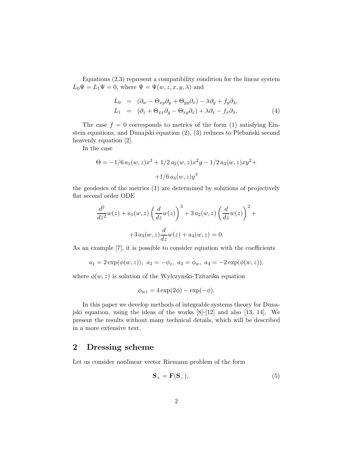Equations (2,3) represent a compatibility condition for the linear system  $L_0\Psi = L_1\Psi = 0$ , where  $\Psi = \Psi(w, z, x, y, \lambda)$  and

$$
L_0 = (\partial_w - \Theta_{xy}\partial_y + \Theta_{yy}\partial_x) - \lambda\partial_y + f_y\partial_x,
$$
  
\n
$$
L_1 = (\partial_z + \Theta_{xx}\partial_y - \Theta_{xy}\partial_x) + \lambda\partial_x - f_x\partial_x.
$$
\n(4)

The case  $f = 0$  corresponds to metrics of the form (1) satisfying Einstein equations, and Dunajski equation  $(2)$ ,  $(3)$  reduces to Plebański second heavenly equation [2].

In the case

$$
\Theta = -1/6 a_1(w, z)x^3 + 1/2 a_2(w, z)x^2y - 1/2 a_3(w, z)xy^2 +
$$
  
+1/6 a<sub>4</sub>(w, z)y<sup>3</sup>

the geodesics of the metrics (1) are determined by solutions of projectively flat second order ODE

$$
\frac{d^2}{dz^2}w(z) + a_1(w, z) \left(\frac{d}{dz}w(z)\right)^3 + 3 a_2(w, z) \left(\frac{d}{dz}w(z)\right)^2 + 3 a_3(w, z) \frac{d}{dz}w(z) + a_4(w, z) = 0.
$$

As an example [7], it is possible to consider equation with the coefficients

$$
a_1 = 2 \exp(\phi(w, z)), \ a_2 = -\phi_z, \ a_3 = \phi_w, \ a_4 = -2 \exp(\phi(w, z)),
$$

where  $\phi(w, z)$  is solution of the Wylczynski-Tzitzeika equation

$$
\phi_{wz} = 4\exp(2\phi) - \exp(-\phi).
$$

In this paper we develop methods of integrable systems theory for Dunajski equation, using the ideas of the works [8]-[12] and also [13, 14]. We present the results without many technical details, which will be described in a more extensive text.

## 2 Dressing scheme

Let us consider nonlinear vector Riemann problem of the form

$$
\mathbf{S}_{+} = \mathbf{F}(\mathbf{S}_{-}),\tag{5}
$$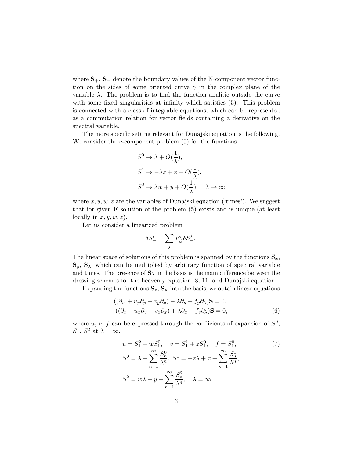where  $S_+$ ,  $S_-$  denote the boundary values of the N-component vector function on the sides of some oriented curve  $\gamma$  in the complex plane of the variable  $\lambda$ . The problem is to find the function analitic outside the curve with some fixed singularities at infinity which satisfies (5). This problem is connected with a class of integrable equations, which can be represented as a commutation relation for vector fields containing a derivative on the spectral variable.

The more specific setting relevant for Dunajski equation is the following. We consider three-component problem (5) for the functions

$$
S^{0} \to \lambda + O(\frac{1}{\lambda}),
$$
  
\n
$$
S^{1} \to -\lambda z + x + O(\frac{1}{\lambda}),
$$
  
\n
$$
S^{2} \to \lambda w + y + O(\frac{1}{\lambda}), \quad \lambda \to \infty,
$$

where  $x, y, w, z$  are the variables of Dunajski equation ('times'). We suggest that for given  $\bf{F}$  solution of the problem  $(5)$  exists and is unique (at least locally in  $x, y, w, z$ .

Let us consider a linearized problem

$$
\delta S^i_+ = \sum_j F^i_{,j} \delta S^j_-.
$$

The linear space of solutions of this problem is spanned by the functions  $S_x$ ,  $\mathbf{S}_y$ ,  $\mathbf{S}_\lambda$ , which can be multiplied by arbitrary function of spectral variable and times. The presence of  $S_{\lambda}$  in the basis is the main difference between the dressing schemes for the heavenly equation [8, 11] and Dunajski equation.

Expanding the functions  $S_z$ ,  $S_w$  into the basis, we obtain linear equations

$$
((\partial_w + u_y \partial_y + v_y \partial_x) - \lambda \partial_y + f_y \partial_x) \mathbf{S} = 0,
$$
  

$$
((\partial_z - u_x \partial_y - v_x \partial_x) + \lambda \partial_x - f_y \partial_x) \mathbf{S} = 0,
$$
 (6)

where u, v, f can be expressed through the coefficients of expansion of  $S^0$ ,  $S^1$ ,  $S^2$  at  $\lambda = \infty$ ,

$$
u = S_1^2 - wS_1^0, \quad v = S_1^1 + zS_1^0, \quad f = S_1^0,
$$
  
\n
$$
S^0 = \lambda + \sum_{n=1}^{\infty} \frac{S_n^0}{\lambda^n}, \quad S^1 = -z\lambda + x + \sum_{n=1}^{\infty} \frac{S_n^1}{\lambda^n},
$$
  
\n
$$
S^2 = w\lambda + y + \sum_{n=1}^{\infty} \frac{S_n^2}{\lambda^n}, \quad \lambda = \infty.
$$
\n(7)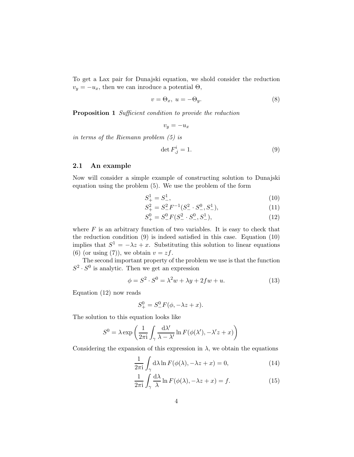To get a Lax pair for Dunajski equation, we shold consider the reduction  $v_y = -u_x$ , then we can inroduce a potential  $\Theta$ ,

$$
v = \Theta_x, \ u = -\Theta_y. \tag{8}
$$

Proposition 1 Sufficient condition to provide the reduction

$$
v_y = -u_x
$$

in terms of the Riemann problem (5) is

$$
\det F^i_{,j} = 1. \tag{9}
$$

#### 2.1 An example

Now will consider a simple example of constructing solution to Dunajski equation using the problem (5). We use the problem of the form

$$
S^1_+ = S^1_-, \tag{10}
$$

$$
S_{+}^{2} = S_{-}^{2} F^{-1} (S_{-}^{2} \cdot S_{-}^{0}, S_{-}^{1}), \tag{11}
$$

$$
S_{+}^{0} = S_{-}^{0} F(S_{-}^{2} \cdot S_{-}^{0}, S_{-}^{1}), \tag{12}
$$

where  $F$  is an arbitrary function of two variables. It is easy to check that the reduction condition (9) is indeed satisfied in this case. Equation (10) implies that  $S^1 = -\lambda z + x$ . Substituting this solution to linear equations (6) (or using (7)), we obtain  $v = zf$ .

The second important property of the problem we use is that the function  $S^2 \cdot S^0$  is analytic. Then we get an expression

$$
\phi = S^2 \cdot S^0 = \lambda^2 w + \lambda y + 2f w + u. \tag{13}
$$

Equation (12) now reads

$$
S^0_+ = S^0_- F(\phi,-\lambda z+x).
$$

The solution to this equation looks like

$$
S^{0} = \lambda \exp \left( \frac{1}{2\pi i} \int_{\gamma} \frac{d\lambda'}{\lambda - \lambda'} \ln F(\phi(\lambda'), -\lambda' z + x) \right)
$$

Considering the expansion of this expression in  $\lambda$ , we obtain the equations

$$
\frac{1}{2\pi i} \int_{\gamma} d\lambda \ln F(\phi(\lambda), -\lambda z + x) = 0,
$$
\n(14)

$$
\frac{1}{2\pi i} \int_{\gamma} \frac{d\lambda}{\lambda} \ln F(\phi(\lambda), -\lambda z + x) = f.
$$
 (15)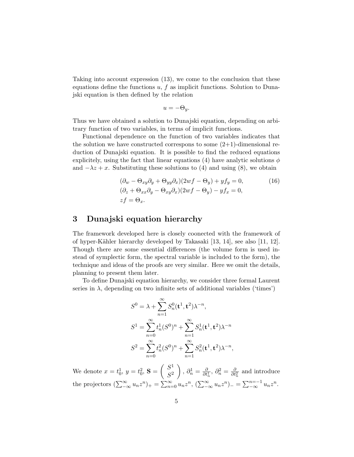Taking into account expression (13), we come to the conclusion that these equations define the functions  $u, f$  as implicit functions. Solution to Dunajski equation is then defined by the relation

$$
u = -\Theta_y.
$$

Thus we have obtained a solution to Dunajski equation, depending on arbitrary function of two variables, in terms of implicit functions.

Functional dependence on the function of two variables indicates that the solution we have constructed correspons to some  $(2+1)$ -dimensional reduction of Dunajski equation. It is possible to find the reduced equations explicitely, using the fact that linear equations (4) have analytic solutions  $\phi$ and  $-\lambda z + x$ . Substituting these solutions to (4) and using (8), we obtain

$$
(\partial_w - \Theta_{xy}\partial_y + \Theta_{yy}\partial_x)(2wf - \Theta_y) + yf_y = 0,
$$
  
\n
$$
(\partial_z + \Theta_{xx}\partial_y - \Theta_{xy}\partial_x)(2wf - \Theta_y) - yf_x = 0,
$$
  
\n
$$
zf = \Theta_x.
$$
\n(16)

## 3 Dunajski equation hierarchy

The framework developed here is closely coonected with the framework of of hyper-Kähler hierarchy developed by Takasaki  $[13, 14]$ , see also  $[11, 12]$ . Though there are some essential differences (the volume form is used instead of symplectic form, the spectral variable is included to the form), the technique and ideas of the proofs are very similar. Here we omit the details, planning to present them later.

To define Dunajski equation hierarchy, we consider three formal Laurent series in  $\lambda$ , depending on two infinite sets of additional variables ('times')

$$
S^{0} = \lambda + \sum_{n=1}^{\infty} S_{n}^{0}(\mathbf{t}^{1}, \mathbf{t}^{2}) \lambda^{-n},
$$
  
\n
$$
S^{1} = \sum_{n=0}^{\infty} t_{n}^{1} (S^{0})^{n} + \sum_{n=1}^{\infty} S_{n}^{1}(\mathbf{t}^{1}, \mathbf{t}^{2}) \lambda^{-n}
$$
  
\n
$$
S^{2} = \sum_{n=0}^{\infty} t_{n}^{2} (S^{0})^{n} + \sum_{n=1}^{\infty} S_{n}^{2}(\mathbf{t}^{1}, \mathbf{t}^{2}) \lambda^{-n},
$$

We denote  $x = t_0^1$ ,  $y = t_0^2$ ,  $S = \begin{pmatrix} S^1 \\ S^2 \end{pmatrix}$  $S^2$  $\bigg), \partial_n^1 = \frac{\partial}{\partial t_n^1}, \partial_n^2 = \frac{\partial}{\partial t_n^2}$  and introduce the projectors  $(\sum_{-\infty}^{\infty} u_n z^n)_{+} = \sum_{n=0}^{\infty} u_n z^n$ ,  $(\sum_{-\infty}^{\infty} u_n z^n)_{-} = \sum_{-\infty}^{n=-1} u_n z^n$ .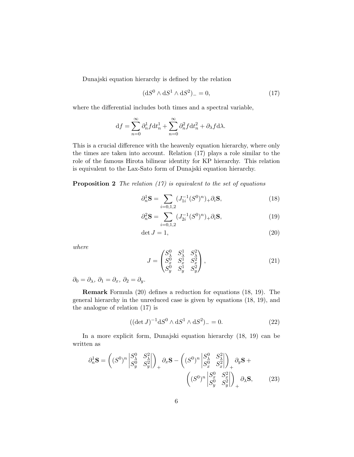Dunajski equation hierarchy is defined by the relation

$$
(\mathrm{d}S^0 \wedge \mathrm{d}S^1 \wedge \mathrm{d}S^2)_{-} = 0,\tag{17}
$$

where the differential includes both times and a spectral variable,

$$
df = \sum_{n=0}^{\infty} \partial_n^1 f dt_n^1 + \sum_{n=0}^{\infty} \partial_n^2 f dt_n^2 + \partial_\lambda f d\lambda.
$$

This is a crucial difference with the heavenly equation hierarchy, where only the times are taken into account. Relation (17) plays a role similar to the role of the famous Hirota bilinear identity for KP hierarchy. This relation is equivalent to the Lax-Sato form of Dunajski equation hierarchy.

**Proposition 2** The relation  $(17)$  is equivalent to the set of equations

$$
\partial_n^1 \mathbf{S} = \sum_{i=0,1,2} (J_{1i}^{-1} (S^0)^n)_+ \partial_i \mathbf{S},\tag{18}
$$

$$
\partial_n^2 \mathbf{S} = \sum_{i=0,1,2} (J_{2i}^{-1} (S^0)^n)_+ \partial_i \mathbf{S},\tag{19}
$$

$$
\det J = 1,\tag{20}
$$

where

$$
J = \begin{pmatrix} S_{\lambda}^{0} & S_{\lambda}^{1} & S_{\lambda}^{2} \\ S_{x}^{0} & S_{x}^{1} & S_{x}^{2} \\ S_{y}^{0} & S_{y}^{1} & S_{y}^{2} \end{pmatrix},
$$
(21)

 $\partial_0 = \partial_{\lambda}, \ \partial_1 = \partial_x, \ \partial_2 = \partial_y.$ 

Remark Formula (20) defines a reduction for equations (18, 19). The general hierarchy in the unreduced case is given by equations (18, 19), and the analogue of relation (17) is

$$
((\det J)^{-1} \mathrm{d}S^0 \wedge \mathrm{d}S^1 \wedge \mathrm{d}S^2)_{-} = 0. \tag{22}
$$

In a more explicit form, Dunajski equation hierarchy (18, 19) can be written as

$$
\partial_n^1 \mathbf{S} = \left( (S^0)^n \begin{vmatrix} S^0_\lambda & S^2_\lambda \\ S^0_y & S^2_y \end{vmatrix} \right)_+ \partial_x \mathbf{S} - \left( (S^0)^n \begin{vmatrix} S^0_\lambda & S^2_\lambda \\ S^0_x & S^2_x \end{vmatrix} \right)_+ \partial_y \mathbf{S} + \left( (S^0)^n \begin{vmatrix} S^0_x & S^2_x \\ S^0_y & S^2_y \end{vmatrix} \right)_+ \partial_\lambda \mathbf{S}, \tag{23}
$$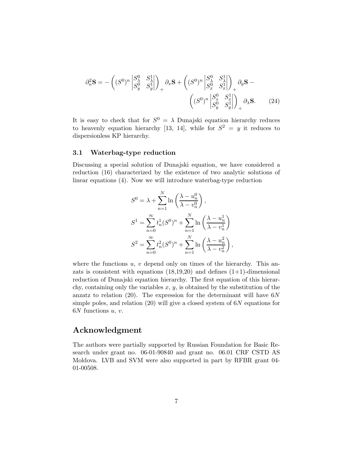$$
\partial_n^2 \mathbf{S} = -\left( (S^0)^n \begin{vmatrix} S_\lambda^0 & S_\lambda^1 \\ S_y^0 & S_y^1 \end{vmatrix} \right)_+ \partial_x \mathbf{S} + \left( (S^0)^n \begin{vmatrix} S_\lambda^0 & S_\lambda^1 \\ S_x^0 & S_x^1 \end{vmatrix} \right)_+ \partial_y \mathbf{S} - \left( (S^0)^n \begin{vmatrix} S_x^0 & S_x^1 \\ S_y^0 & S_y^1 \end{vmatrix} \right)_+ \partial_\lambda \mathbf{S}.
$$
\n(24)

It is easy to check that for  $S^0 = \lambda$  Dunajski equation hierarchy reduces to heavenly equation hierarchy [13, 14], while for  $S^2 = y$  it reduces to dispersionless KP hierarchy.

#### 3.1 Waterbag-type reduction

Discussing a special solution of Dunajski equation, we have considered a reduction (16) characterized by the existence of two analytic solutions of linear equations (4). Now we will introduce waterbag-type reduction

$$
S^{0} = \lambda + \sum_{n=1}^{N} \ln\left(\frac{\lambda - u_n^{0}}{\lambda - v_n^{0}}\right),
$$
  
\n
$$
S^{1} = \sum_{n=0}^{\infty} t_n^{1}(S^{0})^{n} + \sum_{n=1}^{N} \ln\left(\frac{\lambda - u_n^{1}}{\lambda - v_n^{1}}\right)
$$
  
\n
$$
S^{2} = \sum_{n=0}^{\infty} t_n^{2}(S^{0})^{n} + \sum_{n=1}^{N} \ln\left(\frac{\lambda - u_n^{2}}{\lambda - v_n^{2}}\right),
$$

where the functions  $u, v$  depend only on times of the hierarchy. This anzats is consistent with equations  $(18,19,20)$  and defines  $(1+1)$ -dimensional reduction of Dunajski equation hierarchy. The first equation of this hierarchy, containing only the variables  $x, y$ , is obtained by the substitution of the anzatz to relation (20). The expression for the determinant will have  $6N$ simple poles, and relation  $(20)$  will give a closed system of 6N equations for  $6N$  functions  $u, v$ .

## Acknowledgment

The authors were partially supported by Russian Foundation for Basic Research under grant no. 06-01-90840 and grant no. 06.01 CRF CSTD AS Moldova. LVB and SVM were also supported in part by RFBR grant 04- 01-00508.